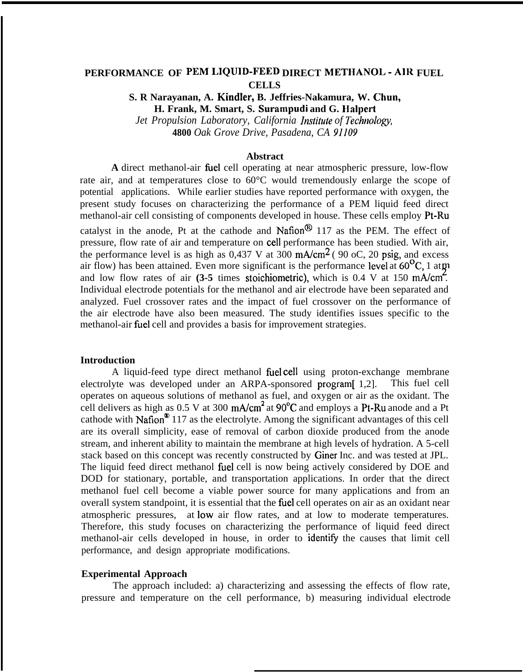# **PERFORMANCE OF PEM LIQUID-FEED DIRECT METHANOL - AIR FUEL CELLS**

**S. R Narayanan, A. Kindler, B. Jeffries-Nakamura, W. Chun, H. Frank, M. Smart, S. Surampudi and G. Halpert** *Jet Propulsion Laboratory, California Institute of Technology,* 

**4800** *Oak Grove Drive, Pasadena, CA 91109*

### **Abstract**

**A** direct methanol-air fiel cell operating at near atmospheric pressure, low-flow rate air, and at temperatures close to 60°C would tremendously enlarge the scope of potential applications. While earlier studies have reported performance with oxygen, the present study focuses on characterizing the performance of a PEM liquid feed direct methanol-air cell consisting of components developed in house. These cells employ Pt-Ru catalyst in the anode. Pt at the cathode and Nation<sup>®</sup> 117 as the PEM. The effect of pressure, flow rate of air and temperature on cell performance has been studied. With air, the performance level is as high as  $0.437$  V at  $300$  mA/cm<sup>2</sup> (90 oC, 20 psig, and excess air flow) has been attained. Even more significant is the performance level at  $60^{\circ}$ C, 1 at  $\pi$ and low flow rates of air **(3-5** times stoichiometric), which is 0.4 V at 150 mA/cm<sup>2</sup>. Individual electrode potentials for the methanol and air electrode have been separated and analyzed. Fuel crossover rates and the impact of fuel crossover on the performance of the air electrode have also been measured. The study identifies issues specific to the methanol-air fiel cell and provides a basis for improvement strategies.

#### **Introduction**

A liquid-feed type direct methanol fuel cell using proton-exchange membrane electrolyte was developed under an ARPA-sponsored program[ 1,2]. This fuel cell operates on aqueous solutions of methanol as fuel, and oxygen or air as the oxidant. The cell delivers as high as  $0.5$  V at  $300 \text{ mA/cm}^2$  at  $90^{\circ}\text{C}$  and employs a Pt-Ru anode and a Pt cathode with Nafion<sup>®</sup> 117 as the electrolyte. Among the significant advantages of this cell are its overall simplicity, ease of removal of carbon dioxide produced from the anode stream, and inherent ability to maintain the membrane at high levels of hydration. A 5-cell stack based on this concept was recently constructed by Giner Inc. and was tested at JPL. The liquid feed direct methanol fiel cell is now being actively considered by DOE and DOD for stationary, portable, and transportation applications. In order that the direct methanol fuel cell become a viable power source for many applications and from an overall system standpoint, it is essential that the fiel cell operates on air as an oxidant near atmospheric pressures, at low air flow rates, and at low to moderate temperatures. Therefore, this study focuses on characterizing the performance of liquid feed direct methanol-air cells developed in house, in order to identify the causes that limit cell performance, and design appropriate modifications.

#### **Experimental Approach**

The approach included: a) characterizing and assessing the effects of flow rate, pressure and temperature on the cell performance, b) measuring individual electrode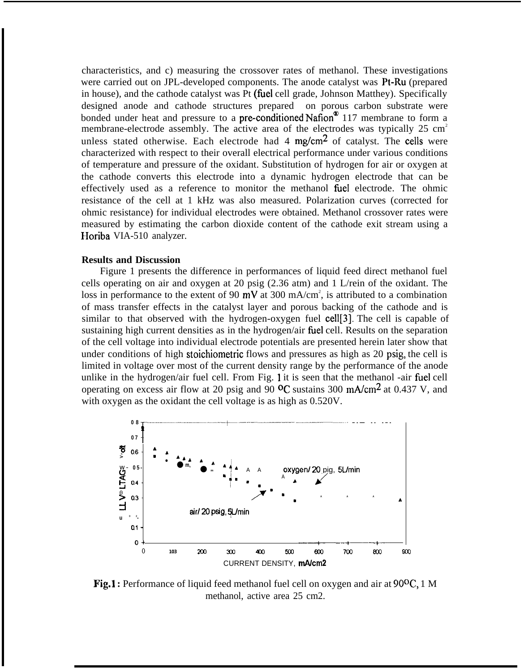characteristics, and c) measuring the crossover rates of methanol. These investigations were carried out on JPL-developed components. The anode catalyst was Pt-Ru (prepared in house), and the cathode catalyst was Pt (fhel cell grade, Johnson Matthey). Specifically designed anode and cathode structures prepared on porous carbon substrate were bonded under heat and pressure to a **pre-conditioned Nafion**<sup>®</sup> 117 membrane to form a membrane-electrode assembly. The active area of the electrodes was typically  $25 \text{ cm}^2$ unless stated otherwise. Each electrode had 4  $mg/cm<sup>2</sup>$  of catalyst. The cells were characterized with respect to their overall electrical performance under various conditions of temperature and pressure of the oxidant. Substitution of hydrogen for air or oxygen at the cathode converts this electrode into a dynamic hydrogen electrode that can be effectively used as a reference to monitor the methanol fiel electrode. The ohmic resistance of the cell at 1 kHz was also measured. Polarization curves (corrected for ohmic resistance) for individual electrodes were obtained. Methanol crossover rates were measured by estimating the carbon dioxide content of the cathode exit stream using a Horiba VIA-510 analyzer.

### **Results and Discussion**

Figure 1 presents the difference in performances of liquid feed direct methanol fuel cells operating on air and oxygen at 20 psig (2.36 atm) and 1 L/rein of the oxidant. The loss in performance to the extent of 90 mV at 300 mA/cm<sup>2</sup>, is attributed to a combination of mass transfer effects in the catalyst layer and porous backing of the cathode and is similar to that observed with the hydrogen-oxygen fuel cell[3]. The cell is capable of sustaining high current densities as in the hydrogen/air fiel cell. Results on the separation of the cell voltage into individual electrode potentials are presented herein later show that under conditions of high stoichiometric flows and pressures as high as 20 psig, the cell is limited in voltage over most of the current density range by the performance of the anode unlike in the hydrogen/air fuel cell. From Fig. 1 it is seen that the methanol -air fuel cell operating on excess air flow at 20 psig and 90  $^{\circ}$ C sustains 300 mA/cm<sup>2</sup> at 0.437 V, and with oxygen as the oxidant the cell voltage is as high as 0.520V.



**Fig.1 :** Performance of liquid feed methanol fuel cell on oxygen and air at 90<sup>o</sup>C, 1 M methanol, active area 25 cm2.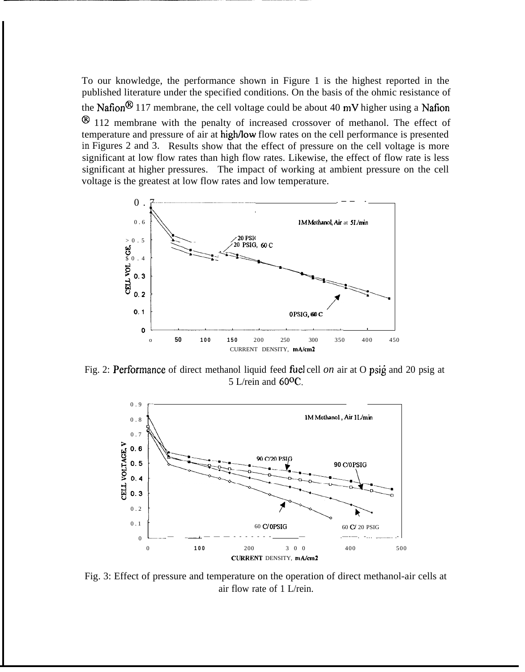To our knowledge, the performance shown in Figure 1 is the highest reported in the published literature under the specified conditions. On the basis of the ohmic resistance of the Nafion<sup>®</sup> 117 membrane, the cell voltage could be about 40 mV higher using a Nafion <sup>®</sup> 112 membrane with the penalty of increased crossover of methanol. The effect of temperature and pressure of air at high/low flow rates on the cell performance is presented *in* Figures 2 and 3. Results show that the effect of pressure on the cell voltage is more significant at low flow rates than high flow rates. Likewise, the effect of flow rate is less significant at higher pressures. The impact of working at ambient pressure on the cell voltage is the greatest at low flow rates and low temperature.



Fig. 2: Performance of direct methanol liquid feed fuel cell *on* air at O psig and 20 psig at 5 L/rein and 600C.



Fig. 3: Effect of pressure and temperature on the operation of direct methanol-air cells at air flow rate of 1 L/rein.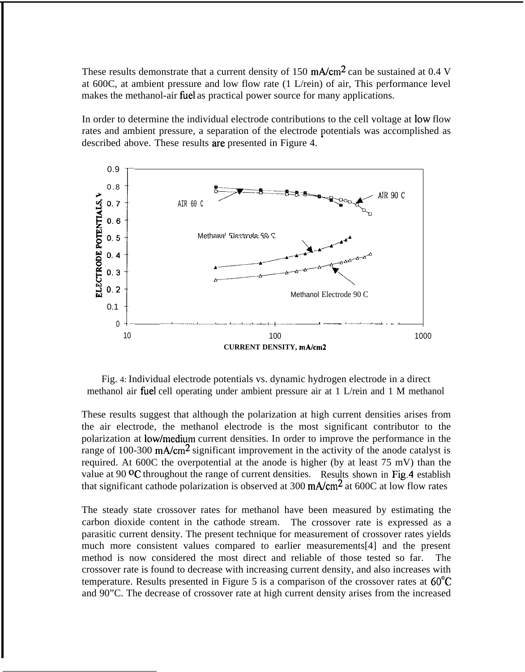These results demonstrate that a current density of 150 mA/cm<sup>2</sup> can be sustained at 0.4 V at 600C, at ambient pressure and low flow rate (1 L/rein) of air, This performance level makes the methanol-air fuel as practical power source for many applications.

In order to determine the individual electrode contributions to the cell voltage at low flow rates and ambient pressure, a separation of the electrode potentials was accomplished as described above. These results are presented in Figure 4.



Fig. 4: Individual electrode potentials vs. dynamic hydrogen electrode in a direct methanol air fhel cell operating under ambient pressure air at 1 L/rein and 1 M methanol

These results suggest that although the polarization at high current densities arises from the air electrode, the methanol electrode is the most significant contributor to the polarization at low/medium current densities. In order to improve the performance in the range of 100-300 mA/cm<sup>2</sup> significant improvement in the activity of the anode catalyst is required. At 600C the overpotential at the anode is higher (by at least 75 mV) than the value at 90  $\textdegree$ C throughout the range of current densities. Results shown in Fig.4 establish that significant cathode polarization is observed at 300  $mA/cm<sup>2</sup>$  at 600C at low flow rates

The steady state crossover rates for methanol have been measured by estimating the carbon dioxide content in the cathode stream. The crossover rate is expressed as a parasitic current density. The present technique for measurement of crossover rates yields much more consistent values compared to earlier measurements[4] and the present method is now considered the most direct and reliable of those tested so far. The crossover rate is found to decrease with increasing current density, and also increases with temperature. Results presented in Figure 5 is a comparison of the crossover rates at 60"C and 90"C. The decrease of crossover rate at high current density arises from the increased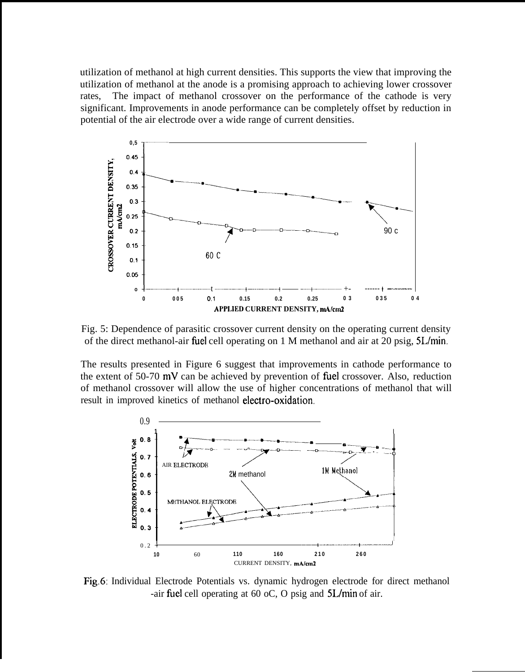utilization of methanol at high current densities. This supports the view that improving the utilization of methanol at the anode is a promising approach to achieving lower crossover rates, The impact of methanol crossover on the performance of the cathode is very significant. Improvements in anode performance can be completely offset by reduction in potential of the air electrode over a wide range of current densities.



Fig. 5: Dependence of parasitic crossover current density on the operating current density of the direct methanol-air fhel cell operating on 1 M methanol and air at 20 psig, 5L/min.

The results presented in Figure 6 suggest that improvements in cathode performance to the extent of  $50-70$  mV can be achieved by prevention of fuel crossover. Also, reduction of methanol crossover will allow the use of higher concentrations of methanol that will



Fig.6: Individual Electrode Potentials vs. dynamic hydrogen electrode for direct methanol -air fiel cell operating at 60 oC, O psig and 5L/min of air.